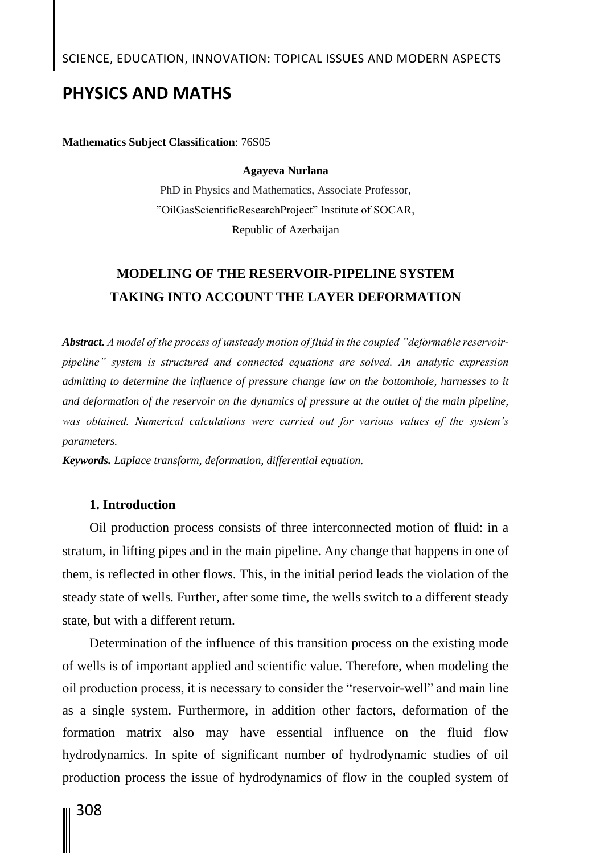# SCIENCE, EDUCATION, INNOVATION: TOPICAL ISSUES AND MODERN ASPECTS

## **PHYSICS AND MATHS**

**Mathematics Subject Classification**: 76S05

#### **Agayeva Nurlana**

PhD in Physics and Mathematics, Associate Professor, "OilGasScientificResearchProject" Institute of SOCAR, Republic of Azerbaijan

# **MODELING OF THE RESERVOIR-PIPELINE SYSTEM TAKING INTO ACCOUNT THE LAYER DEFORMATION**

*Abstract. A model of the process of unsteady motion of fluid in the coupled "deformable reservoirpipeline" system is structured and connected equations are solved. An analytic expression admitting to determine the influence of pressure change law on the bottomhole, harnesses to it and deformation of the reservoir on the dynamics of pressure at the outlet of the main pipeline, was obtained. Numerical calculations were carried out for various values of the system's parameters.*

*Keywords. Laplace transform, deformation, differential equation.*

## **1. Introduction**

Oil production process consists of three interconnected motion of fluid: in a stratum, in lifting pipes and in the main pipeline. Any change that happens in one of them, is reflected in other flows. This, in the initial period leads the violation of the steady state of wells. Further, after some time, the wells switch to a different steady state, but with a different return.

Determination of the influence of this transition process on the existing mode of wells is of important applied and scientific value. Therefore, when modeling the oil production process, it is necessary to consider the "reservoir-well" and main line as a single system. Furthermore, in addition other factors, deformation of the formation matrix also may have essential influence on the fluid flow hydrodynamics. In spite of significant number of hydrodynamic studies of oil production process the issue of hydrodynamics of flow in the coupled system of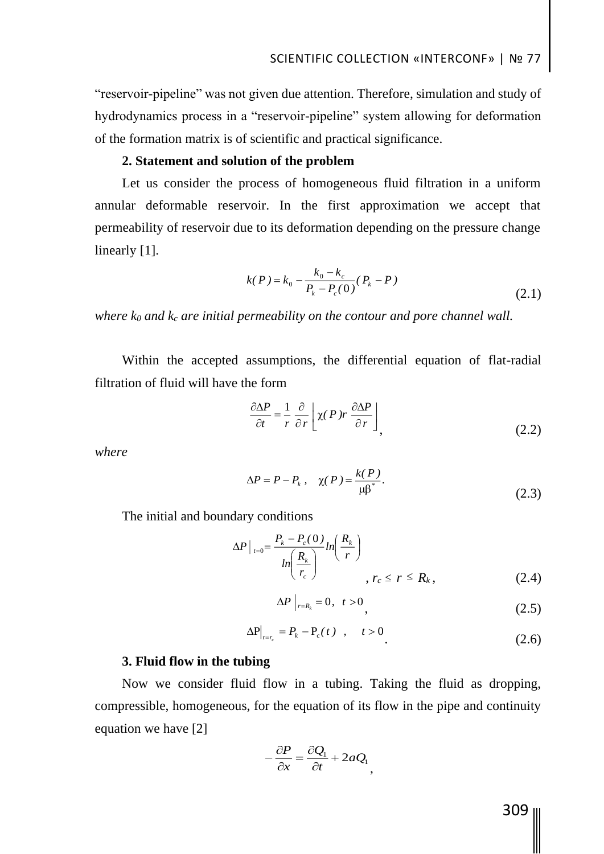"reservoir-pipeline" was not given due attention. Therefore, simulation and study of hydrodynamics process in a "reservoir-pipeline" system allowing for deformation of the formation matrix is of scientific and practical significance.

### **2. Statement and solution of the problem**

Let us consider the process of homogeneous fluid filtration in a uniform annular deformable reservoir. In the first approximation we accept that permeability of reservoir due to its deformation depending on the pressure change linearly [1].

$$
k(P) = k_0 - \frac{k_0 - k_c}{P_k - P_c(0)} (P_k - P)
$$
\n(2.1)

*where k<sup>0</sup> and k<sup>c</sup> are initial permeability on the contour and pore channel wall.*

Within the accepted assumptions, the differential equation of flat-radial filtration of fluid will have the form

$$
\frac{\partial \Delta P}{\partial t} = \frac{1}{r} \frac{\partial}{\partial r} \left[ \chi(P) r \frac{\partial \Delta P}{\partial r} \right],
$$
\n(2.2)

*where*

$$
\Delta P = P - P_k, \quad \chi(P) = \frac{k(P)}{\mu \beta^*}.
$$
 (2.3)

The initial and boundary conditions

$$
\Delta P \big|_{t=0} = \frac{P_k - P_c(0)}{\ln \left( \frac{R_k}{r_c} \right)} \ln \left( \frac{R_k}{r} \right)
$$
\n
$$
r_c \leq r \leq R_k, \tag{2.4}
$$

$$
\Delta P \big|_{r=R_k} = 0, \quad t > 0 \tag{2.5}
$$

$$
\Delta P\big|_{t=r_c} = P_k - P_c(t) \quad , \quad t > 0
$$
\n
$$
\tag{2.6}
$$

### **3. Fluid flow in the tubing**

Now we consider fluid flow in a tubing. Taking the fluid as dropping, compressible, homogeneous, for the equation of its flow in the pipe and continuity equation we have [2]

$$
-\frac{\partial P}{\partial x} = \frac{\partial Q_1}{\partial t} + 2aQ_1,
$$

309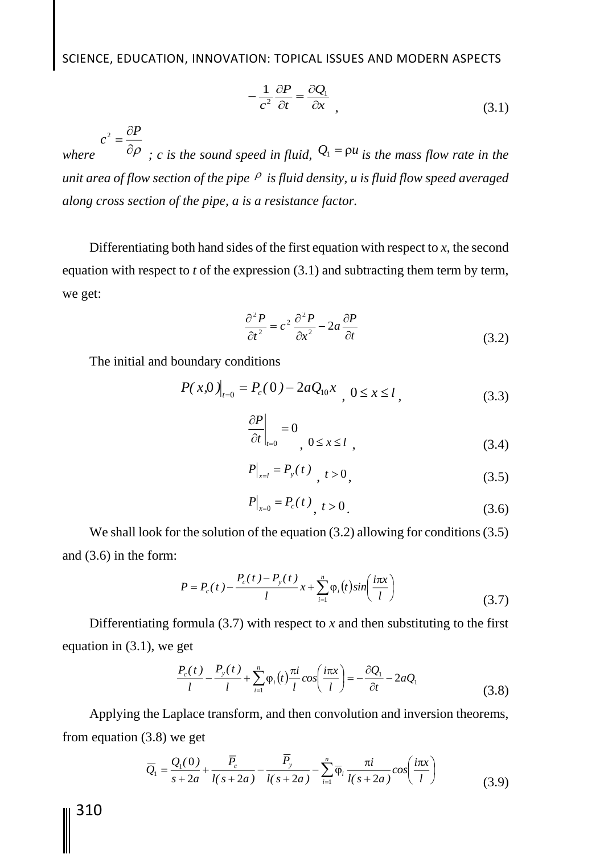SCIENCE, EDUCATION, INNOVATION: TOPICAL ISSUES AND MODERN ASPECTS

$$
-\frac{1}{c^2}\frac{\partial P}{\partial t} = \frac{\partial Q_1}{\partial x},
$$
\n(3.1)

*where*   $\partial \rho$  $=\frac{\partial}{\partial x}$ *P*  $c^{\,2}$ *; c is the sound speed in fluid,*  $\mathcal{Q}_1 = \rho u$  *is the mass flow rate in the unit area of flow section of the pipe is fluid density, u is fluid flow speed averaged along cross section of the pipe, a is a resistance factor.*

Differentiating both hand sides of the first equation with respect to *x*, the second equation with respect to *t* of the expression (3.1) and subtracting them term by term, we get:

$$
\frac{\partial^2 P}{\partial t^2} = c^2 \frac{\partial^2 P}{\partial x^2} - 2a \frac{\partial P}{\partial t}
$$
 (3.2)

The initial and boundary conditions

$$
P(x,0)|_{t=0} = P_c(0) - 2aQ_{10}x, \quad 0 \le x \le l,
$$
\n(3.3)

$$
\left. \frac{\partial P}{\partial t} \right|_{t=0} = 0, \quad 0 \le x \le l \quad , \tag{3.4}
$$

$$
P|_{x=l} = P_y(t) \, , \, t > 0, \tag{3.5}
$$

$$
P|_{x=0} = P_c(t), \quad t > 0. \tag{3.6}
$$

We shall look for the solution of the equation (3.2) allowing for conditions (3.5) and (3.6) in the form:

$$
P = P_c(t) - \frac{P_c(t) - P_y(t)}{l}x + \sum_{i=1}^{n} \varphi_i(t) \sin\left(\frac{i\pi x}{l}\right)
$$
(3.7)

Differentiating formula  $(3.7)$  with respect to *x* and then substituting to the first equation in (3.1), we get

$$
\frac{P_c(t)}{l} - \frac{P_y(t)}{l} + \sum_{i=1}^n \varphi_i(t) \frac{\pi i}{l} \cos\left(\frac{i\pi x}{l}\right) = -\frac{\partial Q_1}{\partial t} - 2aQ_1
$$
\n(3.8)

Applying the Laplace transform, and then convolution and inversion theorems, from equation (3.8) we get

$$
\overline{Q}_1 = \frac{Q_1(0)}{s+2a} + \frac{\overline{P}_c}{l(s+2a)} - \frac{\overline{P}_y}{l(s+2a)} - \sum_{i=1}^n \overline{\varphi}_i \frac{\pi i}{l(s+2a)} cos\left(\frac{i\pi x}{l}\right)
$$
(3.9)

310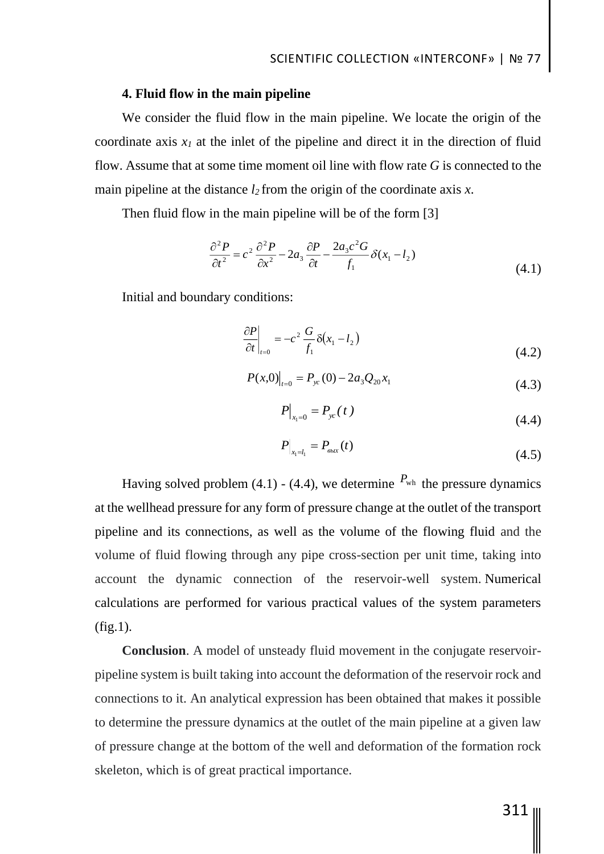### **4. Fluid flow in the main pipeline**

We consider the fluid flow in the main pipeline. We locate the origin of the coordinate axis  $x_I$  at the inlet of the pipeline and direct it in the direction of fluid flow. Assume that at some time moment oil line with flow rate *G* is connected to the main pipeline at the distance  $l_2$  from the origin of the coordinate axis  $x$ .

Then fluid flow in the main pipeline will be of the form [3]

$$
\frac{\partial^2 P}{\partial t^2} = c^2 \frac{\partial^2 P}{\partial x^2} - 2a_3 \frac{\partial P}{\partial t} - \frac{2a_3 c^2 G}{f_1} \delta(x_1 - l_2)
$$
\n(4.1)

Initial and boundary conditions:

$$
\left. \frac{\partial P}{\partial t} \right|_{t=0} = -c^2 \frac{G}{f_1} \delta(x_1 - l_2) \tag{4.2}
$$

$$
P(x,0)|_{t=0} = P_{yc}(0) - 2a_3 Q_{20} x_1
$$
\n(4.3)

$$
P\big|_{x_1=0} = P_{yc}(t) \tag{4.4}
$$

$$
P\big|_{x_1 = l_1} = P_{\text{max}}(t) \tag{4.5}
$$

Having solved problem (4.1) - (4.4), we determine  $P_{wh}$  the pressure dynamics at the wellhead pressure for any form of pressure change at the outlet of the transport pipeline and its connections, as well as the volume of the flowing fluid and the volume of fluid flowing through any pipe cross-section per unit time, taking into account the dynamic connection of the reservoir-well system. Numerical calculations are performed for various practical values of the system parameters  $(fig.1)$ .

**Conclusion**. A model of unsteady fluid movement in the conjugate reservoirpipeline system is built taking into account the deformation of the reservoir rock and connections to it. An analytical expression has been obtained that makes it possible to determine the pressure dynamics at the outlet of the main pipeline at a given law of pressure change at the bottom of the well and deformation of the formation rock skeleton, which is of great practical importance.